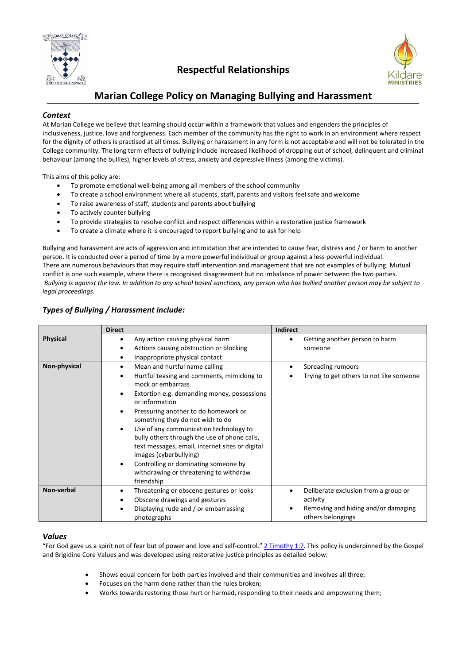

# **Respectful Relationships**



# **Marian College Policy on Managing Bullying and Harassment**

# *Context*

At Marian College we believe that learning should occur within a framework that values and engenders the principles of inclusiveness, justice, love and forgiveness. Each member of the community has the right to work in an environment where respect for the dignity of others is practised at all times. Bullying or harassment in any form is not acceptable and will not be tolerated in the College community. The long term effects of bullying include increased likelihood of dropping out of school, delinquent and criminal behaviour (among the bullies), higher levels of stress, anxiety and depressive illness (among the victims).

This aims of this policy are:

- To promote emotional well‐being among all members of the school community
- To create a school environment where all students, staff, parents and visitors feel safe and welcome
- To raise awareness of staff, students and parents about bullying
- To actively counter bullying
- To provide strategies to resolve conflict and respect differences within a restorative justice framework
- To create a climate where it is encouraged to report bullying and to ask for help

Bullying and harassment are acts of aggression and intimidation that are intended to cause fear, distress and / or harm to another person. It is conducted over a period of time by a more powerful individual or group against a less powerful individual. There are numerous behaviours that may require staff intervention and management that are not examples of bullying. Mutual conflict is one such example, where there is recognised disagreement but no imbalance of power between the two parties. Bullying is against the law. In addition to any school based sanctions, any person who has bullied another person may be subject to *legal proceedings.*

| Types of Bullying / Harassment include: |  |  |
|-----------------------------------------|--|--|
|-----------------------------------------|--|--|

|                 | <b>Direct</b>                                                                                                                                                                                                                                                                                                                                                                                                                                                                                                             | <b>Indirect</b>                                                                                                           |
|-----------------|---------------------------------------------------------------------------------------------------------------------------------------------------------------------------------------------------------------------------------------------------------------------------------------------------------------------------------------------------------------------------------------------------------------------------------------------------------------------------------------------------------------------------|---------------------------------------------------------------------------------------------------------------------------|
| <b>Physical</b> | Any action causing physical harm<br>Actions causing obstruction or blocking<br>Inappropriate physical contact                                                                                                                                                                                                                                                                                                                                                                                                             | Getting another person to harm<br>$\bullet$<br>someone                                                                    |
| Non-physical    | Mean and hurtful name calling<br>٠<br>Hurtful teasing and comments, mimicking to<br>mock or embarrass<br>Extortion e.g. demanding money, possessions<br>or information<br>Pressuring another to do homework or<br>something they do not wish to do<br>Use of any communication technology to<br>bully others through the use of phone calls,<br>text messages, email, internet sites or digital<br>images (cyberbullying)<br>Controlling or dominating someone by<br>withdrawing or threatening to withdraw<br>friendship | Spreading rumours<br>٠<br>Trying to get others to not like someone                                                        |
| Non-verbal      | Threatening or obscene gestures or looks<br>Obscene drawings and gestures<br>Displaying rude and / or embarrassing<br>photographs                                                                                                                                                                                                                                                                                                                                                                                         | Deliberate exclusion from a group or<br>$\bullet$<br>activity<br>Removing and hiding and/or damaging<br>others belongings |

## *Values*

"For God gave us a spirit not of fear but of power and love and self-control." 2 Timothy 1:7. This policy is underpinned by the Gospel and Brigidine Core Values and was developed using restorative justice principles as detailed below:

- Shows equal concern for both parties involved and their communities and involves all three;
- Focuses on the harm done rather than the rules broken;
- Works towards restoring those hurt or harmed, responding to their needs and empowering them;